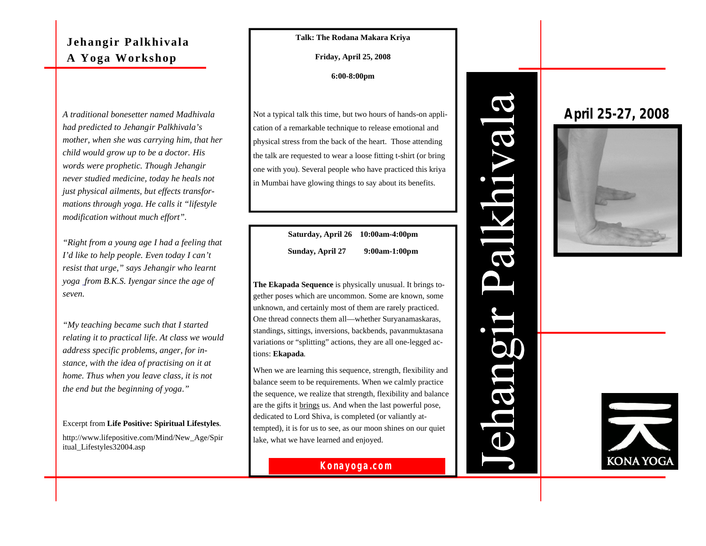# **Jehangir Palkhivala A Yoga Workshop**

*A traditional bonesetter named Madhivala had predicted to Jehangir Palkhivala's mother, when she was carrying him, that her child would grow up to be a doctor. His words were prophetic. Though Jehangir never studied medicine, today he heals not just physical ailments, but effects transformations through yoga. He calls it "lifestyle modification without much effort".*

*"Right from a young age I had a feeling that I'd like to help people. Even today I can't resist that urge," says Jehangir who learnt yoga from B.K.S. Iyengar since the age of seven.* 

*"My teaching became such that I started relating it to practical life. At class we would address specific problems, anger, for instance, with the idea of practising on it at home. Thus when you leave class, it is not the end but the beginning of yoga."*

Excerpt from **Life Positive: Spiritual Lifestyles**. http://www.lifepositive.com/Mind/New\_Age/Spir itual\_Lifestyles32004.asp

### **Talk: The Rodana Makara Kriya**

**Friday, April 25, 2008**

**6:00-8:00pm**

Not a typical talk this time, but two hours of hands-on application of a remarkable technique to release emotional and physical stress from the back of the heart. Those attending the talk are requested to wear a loose fitting t-shirt (or bring one with you). Several people who have practiced this kriya in Mumbai have glowing things to say about its benefits.

| Saturday, April 26 10:00am-4:00pm |               |
|-----------------------------------|---------------|
| Sunday, April 27                  | 9:00am-1:00pm |

**The Ekapada Sequence** is physically unusual. It brings together poses which are uncommon. Some are known, some unknown, and certainly most of them are rarely practiced. One thread connects them all—whether Suryanamaskaras, standings, sittings, inversions, backbends, pavanmuktasana variations or "splitting" actions, they are all one-legged actions: **Ekapada**.

When we are learning this sequence, strength, flexibility and balance seem to be requirements. When we calmly practice the sequence, we realize that strength, flexibility and balance are the gifts it brings us. And when the last powerful pose, dedicated to Lord Shiva, is completed (or valiantly attempted), it is for us to see, as our moon shines on our quiet lake, what we have learned and enjoyed.



# JR  $\overline{\mathcal{C}}$  $\mathbf{\Omega}$